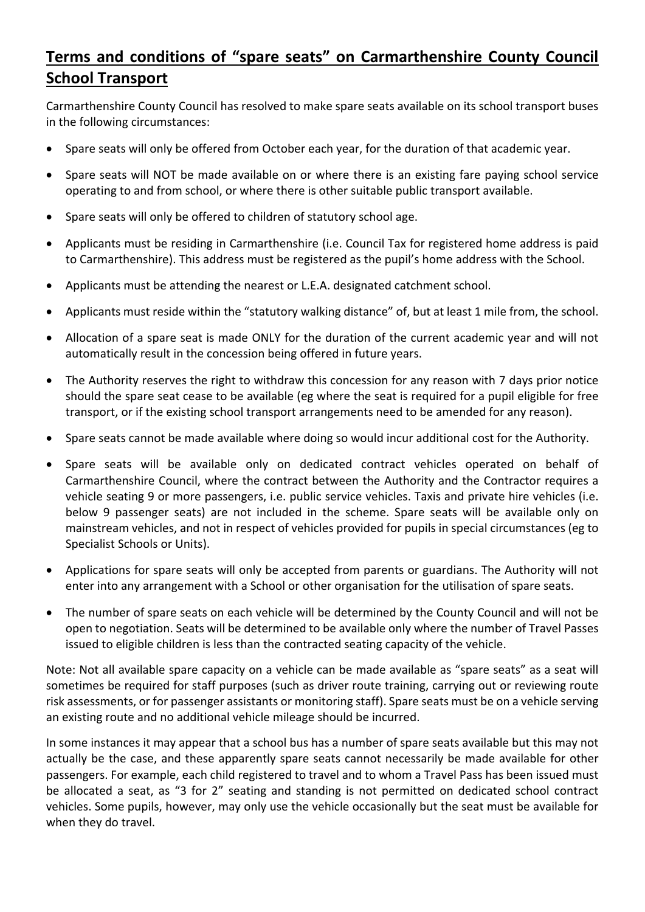## **Terms and conditions of "spare seats" on Carmarthenshire County Council School Transport**

Carmarthenshire County Council has resolved to make spare seats available on its school transport buses in the following circumstances:

- Spare seats will only be offered from October each year, for the duration of that academic year.
- Spare seats will NOT be made available on or where there is an existing fare paying school service operating to and from school, or where there is other suitable public transport available.
- Spare seats will only be offered to children of statutory school age.
- Applicants must be residing in Carmarthenshire (i.e. Council Tax for registered home address is paid to Carmarthenshire). This address must be registered as the pupil's home address with the School.
- Applicants must be attending the nearest or L.E.A. designated catchment school.
- Applicants must reside within the "statutory walking distance" of, but at least 1 mile from, the school.
- Allocation of a spare seat is made ONLY for the duration of the current academic year and will not automatically result in the concession being offered in future years.
- The Authority reserves the right to withdraw this concession for any reason with 7 days prior notice should the spare seat cease to be available (eg where the seat is required for a pupil eligible for free transport, or if the existing school transport arrangements need to be amended for any reason).
- Spare seats cannot be made available where doing so would incur additional cost for the Authority.
- Spare seats will be available only on dedicated contract vehicles operated on behalf of Carmarthenshire Council, where the contract between the Authority and the Contractor requires a vehicle seating 9 or more passengers, i.e. public service vehicles. Taxis and private hire vehicles (i.e. below 9 passenger seats) are not included in the scheme. Spare seats will be available only on mainstream vehicles, and not in respect of vehicles provided for pupils in special circumstances (eg to Specialist Schools or Units).
- Applications for spare seats will only be accepted from parents or guardians. The Authority will not enter into any arrangement with a School or other organisation for the utilisation of spare seats.
- The number of spare seats on each vehicle will be determined by the County Council and will not be open to negotiation. Seats will be determined to be available only where the number of Travel Passes issued to eligible children is less than the contracted seating capacity of the vehicle.

Note: Not all available spare capacity on a vehicle can be made available as "spare seats" as a seat will sometimes be required for staff purposes (such as driver route training, carrying out or reviewing route risk assessments, or for passenger assistants or monitoring staff). Spare seats must be on a vehicle serving an existing route and no additional vehicle mileage should be incurred.

In some instances it may appear that a school bus has a number of spare seats available but this may not actually be the case, and these apparently spare seats cannot necessarily be made available for other passengers. For example, each child registered to travel and to whom a Travel Pass has been issued must be allocated a seat, as "3 for 2" seating and standing is not permitted on dedicated school contract vehicles. Some pupils, however, may only use the vehicle occasionally but the seat must be available for when they do travel.